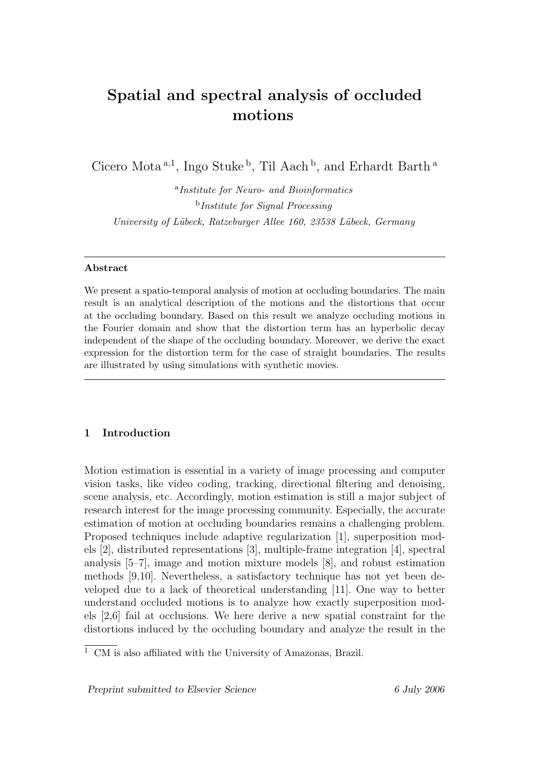# Spatial and spectral analysis of occluded motions

Cicero Mota<sup>a, 1</sup>, Ingo Stuke<sup>b</sup>, Til Aach<sup>b</sup>, and Erhardt Barth<sup>a</sup>

<sup>a</sup>Institute for Neuro- and Bioinformatics b Institute for Signal Processing University of Lübeck, Ratzeburger Allee 160, 23538 Lübeck, Germany

# Abstract

We present a spatio-temporal analysis of motion at occluding boundaries. The main result is an analytical description of the motions and the distortions that occur at the occluding boundary. Based on this result we analyze occluding motions in the Fourier domain and show that the distortion term has an hyperbolic decay independent of the shape of the occluding boundary. Moreover, we derive the exact expression for the distortion term for the case of straight boundaries. The results are illustrated by using simulations with synthetic movies.

# 1 Introduction

Motion estimation is essential in a variety of image processing and computer vision tasks, like video coding, tracking, directional filtering and denoising, scene analysis, etc. Accordingly, motion estimation is still a major subject of research interest for the image processing community. Especially, the accurate estimation of motion at occluding boundaries remains a challenging problem. Proposed techniques include adaptive regularization [1], superposition models [2], distributed representations [3], multiple-frame integration [4], spectral analysis [5–7], image and motion mixture models [8], and robust estimation methods [9,10]. Nevertheless, a satisfactory technique has not yet been developed due to a lack of theoretical understanding [11]. One way to better understand occluded motions is to analyze how exactly superposition models [2,6] fail at occlusions. We here derive a new spatial constraint for the distortions induced by the occluding boundary and analyze the result in the

 $\overline{1 \text{ CM}}$  is also affiliated with the University of Amazonas, Brazil.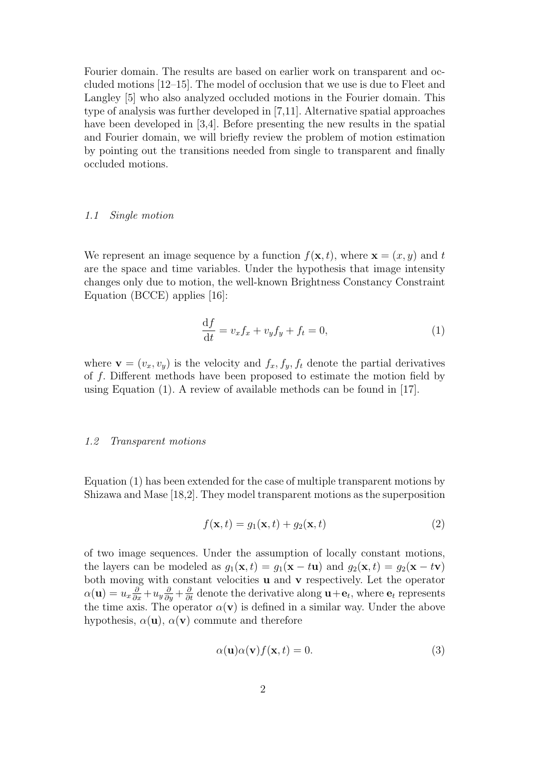Fourier domain. The results are based on earlier work on transparent and occluded motions [12–15]. The model of occlusion that we use is due to Fleet and Langley [5] who also analyzed occluded motions in the Fourier domain. This type of analysis was further developed in [7,11]. Alternative spatial approaches have been developed in [3,4]. Before presenting the new results in the spatial and Fourier domain, we will briefly review the problem of motion estimation by pointing out the transitions needed from single to transparent and finally occluded motions.

#### 1.1 Single motion

We represent an image sequence by a function  $f(\mathbf{x}, t)$ , where  $\mathbf{x} = (x, y)$  and t are the space and time variables. Under the hypothesis that image intensity changes only due to motion, the well-known Brightness Constancy Constraint Equation (BCCE) applies [16]:

$$
\frac{\mathrm{d}f}{\mathrm{d}t} = v_x f_x + v_y f_y + f_t = 0,\tag{1}
$$

where  $\mathbf{v} = (v_x, v_y)$  is the velocity and  $f_x, f_y, f_t$  denote the partial derivatives of f. Different methods have been proposed to estimate the motion field by using Equation (1). A review of available methods can be found in [17].

#### 1.2 Transparent motions

Equation (1) has been extended for the case of multiple transparent motions by Shizawa and Mase [18,2]. They model transparent motions as the superposition

$$
f(\mathbf{x},t) = g_1(\mathbf{x},t) + g_2(\mathbf{x},t)
$$
\n(2)

of two image sequences. Under the assumption of locally constant motions, the layers can be modeled as  $g_1(\mathbf{x}, t) = g_1(\mathbf{x} - t\mathbf{u})$  and  $g_2(\mathbf{x}, t) = g_2(\mathbf{x} - t\mathbf{v})$ both moving with constant velocities  $\mathbf u$  and  $\mathbf v$  respectively. Let the operator  $\alpha(\mathbf{u}) = u_x \frac{\partial}{\partial x} + u_y \frac{\partial}{\partial y} + \frac{\partial}{\partial t}$  denote the derivative along  $\mathbf{u} + \mathbf{e}_t$ , where  $\mathbf{e}_t$  represents the time axis. The operator  $\alpha(\mathbf{v})$  is defined in a similar way. Under the above hypothesis,  $\alpha(\mathbf{u})$ ,  $\alpha(\mathbf{v})$  commute and therefore

$$
\alpha(\mathbf{u})\alpha(\mathbf{v})f(\mathbf{x},t) = 0.
$$
\n(3)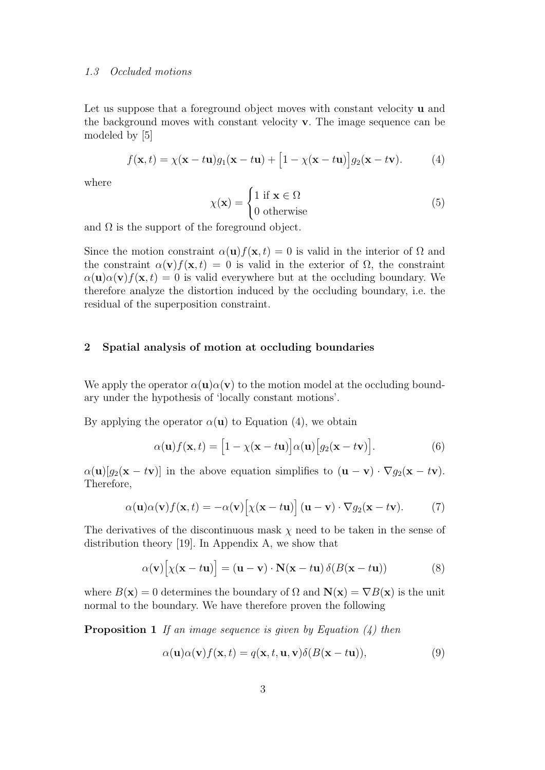#### 1.3 Occluded motions

Let us suppose that a foreground object moves with constant velocity **u** and the background moves with constant velocity v. The image sequence can be modeled by [5]

$$
f(\mathbf{x},t) = \chi(\mathbf{x}-t\mathbf{u})g_1(\mathbf{x}-t\mathbf{u}) + [1-\chi(\mathbf{x}-t\mathbf{u})]g_2(\mathbf{x}-t\mathbf{v}). \tag{4}
$$

where

$$
\chi(\mathbf{x}) = \begin{cases} 1 \text{ if } \mathbf{x} \in \Omega \\ 0 \text{ otherwise} \end{cases}
$$
 (5)

and  $\Omega$  is the support of the foreground object.

Since the motion constraint  $\alpha(\mathbf{u})f(\mathbf{x}, t) = 0$  is valid in the interior of  $\Omega$  and the constraint  $\alpha(\mathbf{v})f(\mathbf{x},t) = 0$  is valid in the exterior of  $\Omega$ , the constraint  $\alpha(\mathbf{u})\alpha(\mathbf{v})f(\mathbf{x},t) = 0$  is valid everywhere but at the occluding boundary. We therefore analyze the distortion induced by the occluding boundary, i.e. the residual of the superposition constraint.

# 2 Spatial analysis of motion at occluding boundaries

We apply the operator  $\alpha(\mathbf{u})\alpha(\mathbf{v})$  to the motion model at the occluding boundary under the hypothesis of 'locally constant motions'.

By applying the operator  $\alpha(\mathbf{u})$  to Equation (4), we obtain

$$
\alpha(\mathbf{u})f(\mathbf{x},t) = [1 - \chi(\mathbf{x} - t\mathbf{u})]\alpha(\mathbf{u})[g_2(\mathbf{x} - t\mathbf{v})].
$$
 (6)

 $\alpha(\mathbf{u})[g_2(\mathbf{x}-t\mathbf{v})]$  in the above equation simplifies to  $(\mathbf{u}-\mathbf{v})\cdot\nabla g_2(\mathbf{x}-t\mathbf{v})$ . Therefore,

$$
\alpha(\mathbf{u})\alpha(\mathbf{v})f(\mathbf{x},t) = -\alpha(\mathbf{v})\big[\chi(\mathbf{x}-t\mathbf{u})\big](\mathbf{u}-\mathbf{v})\cdot\nabla g_2(\mathbf{x}-t\mathbf{v}).\tag{7}
$$

The derivatives of the discontinuous mask  $\chi$  need to be taken in the sense of distribution theory [19]. In Appendix A, we show that

$$
\alpha(\mathbf{v})[\chi(\mathbf{x}-t\mathbf{u})] = (\mathbf{u}-\mathbf{v}) \cdot \mathbf{N}(\mathbf{x}-t\mathbf{u}) \delta(B(\mathbf{x}-t\mathbf{u}))
$$
(8)

where  $B(\mathbf{x}) = 0$  determines the boundary of  $\Omega$  and  $\mathbf{N}(\mathbf{x}) = \nabla B(\mathbf{x})$  is the unit normal to the boundary. We have therefore proven the following

**Proposition 1** If an image sequence is given by Equation  $\left(\frac{1}{4}\right)$  then

$$
\alpha(\mathbf{u})\alpha(\mathbf{v})f(\mathbf{x},t) = q(\mathbf{x},t,\mathbf{u},\mathbf{v})\delta(B(\mathbf{x}-t\mathbf{u})),
$$
\n(9)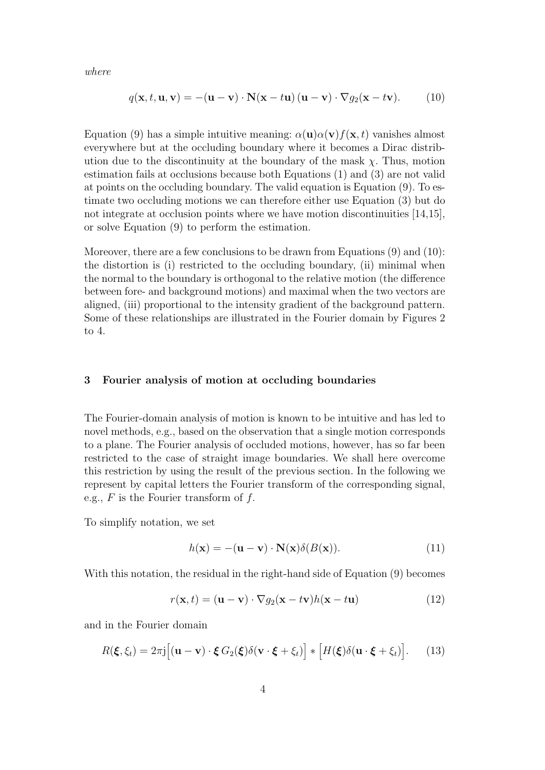where

$$
q(\mathbf{x}, t, \mathbf{u}, \mathbf{v}) = -(\mathbf{u} - \mathbf{v}) \cdot \mathbf{N}(\mathbf{x} - t\mathbf{u}) (\mathbf{u} - \mathbf{v}) \cdot \nabla g_2(\mathbf{x} - t\mathbf{v}). \tag{10}
$$

Equation (9) has a simple intuitive meaning:  $\alpha(\mathbf{u})\alpha(\mathbf{v})f(\mathbf{x}, t)$  vanishes almost everywhere but at the occluding boundary where it becomes a Dirac distribution due to the discontinuity at the boundary of the mask  $\chi$ . Thus, motion estimation fails at occlusions because both Equations (1) and (3) are not valid at points on the occluding boundary. The valid equation is Equation (9). To estimate two occluding motions we can therefore either use Equation (3) but do not integrate at occlusion points where we have motion discontinuities [14,15], or solve Equation (9) to perform the estimation.

Moreover, there are a few conclusions to be drawn from Equations (9) and (10): the distortion is (i) restricted to the occluding boundary, (ii) minimal when the normal to the boundary is orthogonal to the relative motion (the difference between fore- and background motions) and maximal when the two vectors are aligned, (iii) proportional to the intensity gradient of the background pattern. Some of these relationships are illustrated in the Fourier domain by Figures 2 to 4.

## 3 Fourier analysis of motion at occluding boundaries

The Fourier-domain analysis of motion is known to be intuitive and has led to novel methods, e.g., based on the observation that a single motion corresponds to a plane. The Fourier analysis of occluded motions, however, has so far been restricted to the case of straight image boundaries. We shall here overcome this restriction by using the result of the previous section. In the following we represent by capital letters the Fourier transform of the corresponding signal, e.g.,  $F$  is the Fourier transform of  $f$ .

To simplify notation, we set

$$
h(\mathbf{x}) = -(\mathbf{u} - \mathbf{v}) \cdot \mathbf{N}(\mathbf{x}) \delta(B(\mathbf{x})). \tag{11}
$$

With this notation, the residual in the right-hand side of Equation (9) becomes

$$
r(\mathbf{x},t) = (\mathbf{u} - \mathbf{v}) \cdot \nabla g_2(\mathbf{x} - t\mathbf{v})h(\mathbf{x} - t\mathbf{u})
$$
(12)

and in the Fourier domain

$$
R(\boldsymbol{\xi}, \xi_t) = 2\pi \mathbf{j} \Big[ (\mathbf{u} - \mathbf{v}) \cdot \boldsymbol{\xi} \, G_2(\boldsymbol{\xi}) \delta(\mathbf{v} \cdot \boldsymbol{\xi} + \xi_t) \Big] * \Big[ H(\boldsymbol{\xi}) \delta(\mathbf{u} \cdot \boldsymbol{\xi} + \xi_t) \Big]. \tag{13}
$$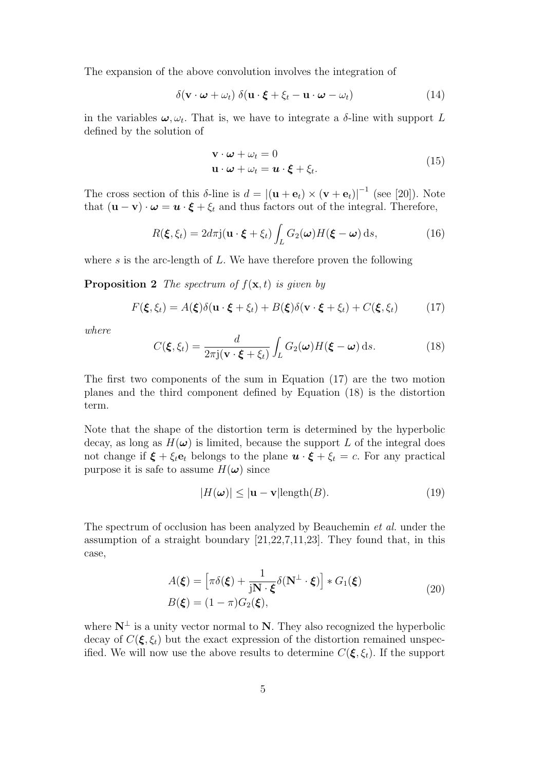The expansion of the above convolution involves the integration of

$$
\delta(\mathbf{v} \cdot \boldsymbol{\omega} + \omega_t) \, \delta(\mathbf{u} \cdot \boldsymbol{\xi} + \xi_t - \mathbf{u} \cdot \boldsymbol{\omega} - \omega_t) \tag{14}
$$

in the variables  $\boldsymbol{\omega}, \omega_t$ . That is, we have to integrate a  $\delta$ -line with support L defined by the solution of

$$
\mathbf{v} \cdot \boldsymbol{\omega} + \omega_t = 0
$$
  

$$
\mathbf{u} \cdot \boldsymbol{\omega} + \omega_t = \mathbf{u} \cdot \boldsymbol{\xi} + \xi_t.
$$
 (15)

The cross section of this  $\delta$ -line is  $d = |(\mathbf{u} + \mathbf{e}_t) \times (\mathbf{v} + \mathbf{e}_t)|^{-1}$  (see [20]). Note that  $(\mathbf{u} - \mathbf{v}) \cdot \boldsymbol{\omega} = \boldsymbol{u} \cdot \boldsymbol{\xi} + \xi_t$  and thus factors out of the integral. Therefore,

$$
R(\boldsymbol{\xi}, \xi_t) = 2d\pi \mathbf{j}(\mathbf{u} \cdot \boldsymbol{\xi} + \xi_t) \int_L G_2(\boldsymbol{\omega}) H(\boldsymbol{\xi} - \boldsymbol{\omega}) \, \mathrm{d}s,\tag{16}
$$

where  $s$  is the arc-length of  $L$ . We have therefore proven the following

**Proposition 2** The spectrum of  $f(\mathbf{x}, t)$  is given by

$$
F(\boldsymbol{\xi}, \xi_t) = A(\boldsymbol{\xi})\delta(\mathbf{u} \cdot \boldsymbol{\xi} + \xi_t) + B(\boldsymbol{\xi})\delta(\mathbf{v} \cdot \boldsymbol{\xi} + \xi_t) + C(\boldsymbol{\xi}, \xi_t)
$$
(17)

where

$$
C(\boldsymbol{\xi},\xi_t) = \frac{d}{2\pi \mathbf{j}(\mathbf{v}\cdot\boldsymbol{\xi} + \xi_t)} \int_L G_2(\boldsymbol{\omega}) H(\boldsymbol{\xi} - \boldsymbol{\omega}) \, \mathrm{d}s. \tag{18}
$$

The first two components of the sum in Equation (17) are the two motion planes and the third component defined by Equation (18) is the distortion term.

Note that the shape of the distortion term is determined by the hyperbolic decay, as long as  $H(\omega)$  is limited, because the support L of the integral does not change if  $\xi + \xi_t e_t$  belongs to the plane  $\mathbf{u} \cdot \xi + \xi_t = c$ . For any practical purpose it is safe to assume  $H(\boldsymbol{\omega})$  since

$$
|H(\boldsymbol{\omega})| \le |\mathbf{u} - \mathbf{v}| \text{length}(B). \tag{19}
$$

The spectrum of occlusion has been analyzed by Beauchemin *et al.* under the assumption of a straight boundary [21,22,7,11,23]. They found that, in this case,

$$
A(\boldsymbol{\xi}) = \left[\pi \delta(\boldsymbol{\xi}) + \frac{1}{jN \cdot \boldsymbol{\xi}} \delta(N^{\perp} \cdot \boldsymbol{\xi})\right] * G_1(\boldsymbol{\xi})
$$
  
\n
$$
B(\boldsymbol{\xi}) = (1 - \pi) G_2(\boldsymbol{\xi}),
$$
\n(20)

where  $N^{\perp}$  is a unity vector normal to N. They also recognized the hyperbolic decay of  $C(\xi, \xi_t)$  but the exact expression of the distortion remained unspecified. We will now use the above results to determine  $C(\xi, \xi_t)$ . If the support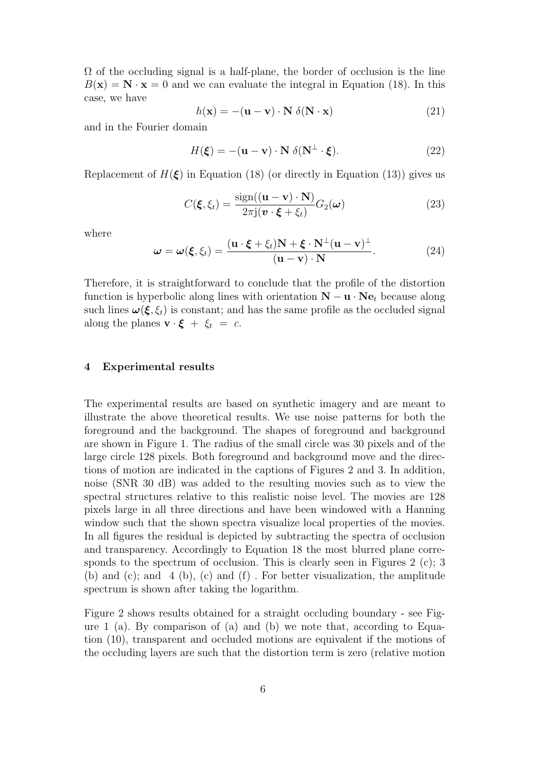$\Omega$  of the occluding signal is a half-plane, the border of occlusion is the line  $B(\mathbf{x}) = \mathbf{N} \cdot \mathbf{x} = 0$  and we can evaluate the integral in Equation (18). In this case, we have

$$
h(\mathbf{x}) = -(\mathbf{u} - \mathbf{v}) \cdot \mathbf{N} \delta(\mathbf{N} \cdot \mathbf{x}) \tag{21}
$$

and in the Fourier domain

$$
H(\xi) = -(\mathbf{u} - \mathbf{v}) \cdot \mathbf{N} \, \delta(\mathbf{N}^{\perp} \cdot \xi). \tag{22}
$$

Replacement of  $H(\xi)$  in Equation (18) (or directly in Equation (13)) gives us

$$
C(\xi, \xi_t) = \frac{\text{sign}((\mathbf{u} - \mathbf{v}) \cdot \mathbf{N})}{2\pi \mathbf{j}(\mathbf{v} \cdot \xi + \xi_t)} G_2(\boldsymbol{\omega})
$$
(23)

where

$$
\omega = \omega(\xi, \xi_t) = \frac{(\mathbf{u} \cdot \xi + \xi_t)\mathbf{N} + \xi \cdot \mathbf{N}^\perp (\mathbf{u} - \mathbf{v})^\perp}{(\mathbf{u} - \mathbf{v}) \cdot \mathbf{N}}.
$$
(24)

Therefore, it is straightforward to conclude that the profile of the distortion function is hyperbolic along lines with orientation  $\mathbf{N} - \mathbf{u} \cdot \mathbf{N} \mathbf{e}_t$  because along such lines  $\omega(\xi, \xi_t)$  is constant; and has the same profile as the occluded signal along the planes  $\mathbf{v} \cdot \boldsymbol{\xi} + \xi_t = c$ .

### 4 Experimental results

The experimental results are based on synthetic imagery and are meant to illustrate the above theoretical results. We use noise patterns for both the foreground and the background. The shapes of foreground and background are shown in Figure 1. The radius of the small circle was 30 pixels and of the large circle 128 pixels. Both foreground and background move and the directions of motion are indicated in the captions of Figures 2 and 3. In addition, noise (SNR 30 dB) was added to the resulting movies such as to view the spectral structures relative to this realistic noise level. The movies are 128 pixels large in all three directions and have been windowed with a Hanning window such that the shown spectra visualize local properties of the movies. In all figures the residual is depicted by subtracting the spectra of occlusion and transparency. Accordingly to Equation 18 the most blurred plane corresponds to the spectrum of occlusion. This is clearly seen in Figures 2 (c); 3 (b) and (c); and 4 (b), (c) and (f) . For better visualization, the amplitude spectrum is shown after taking the logarithm.

Figure 2 shows results obtained for a straight occluding boundary - see Figure 1 (a). By comparison of (a) and (b) we note that, according to Equation (10), transparent and occluded motions are equivalent if the motions of the occluding layers are such that the distortion term is zero (relative motion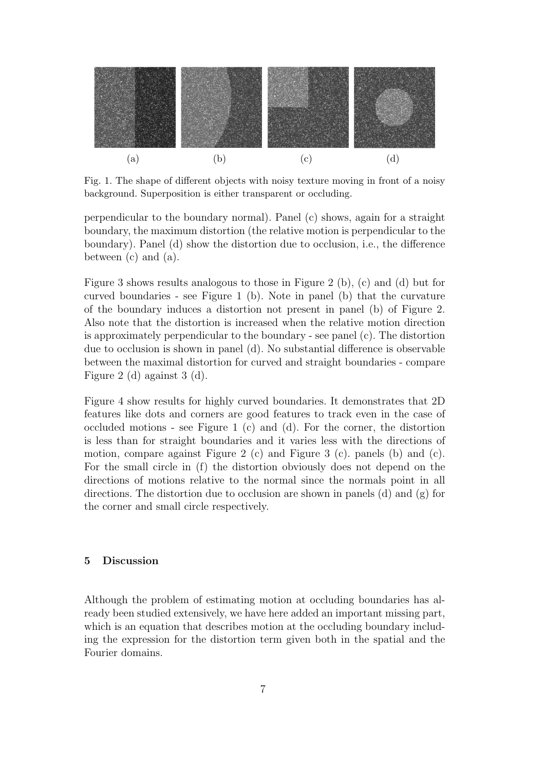

Fig. 1. The shape of different objects with noisy texture moving in front of a noisy background. Superposition is either transparent or occluding.

perpendicular to the boundary normal). Panel (c) shows, again for a straight boundary, the maximum distortion (the relative motion is perpendicular to the boundary). Panel (d) show the distortion due to occlusion, i.e., the difference between (c) and (a).

Figure 3 shows results analogous to those in Figure 2 (b), (c) and (d) but for curved boundaries - see Figure 1 (b). Note in panel (b) that the curvature of the boundary induces a distortion not present in panel (b) of Figure 2. Also note that the distortion is increased when the relative motion direction is approximately perpendicular to the boundary - see panel (c). The distortion due to occlusion is shown in panel (d). No substantial difference is observable between the maximal distortion for curved and straight boundaries - compare Figure 2 (d) against 3 (d).

Figure 4 show results for highly curved boundaries. It demonstrates that 2D features like dots and corners are good features to track even in the case of occluded motions - see Figure 1 (c) and (d). For the corner, the distortion is less than for straight boundaries and it varies less with the directions of motion, compare against Figure 2 (c) and Figure 3 (c). panels (b) and (c). For the small circle in (f) the distortion obviously does not depend on the directions of motions relative to the normal since the normals point in all directions. The distortion due to occlusion are shown in panels (d) and (g) for the corner and small circle respectively.

# 5 Discussion

Although the problem of estimating motion at occluding boundaries has already been studied extensively, we have here added an important missing part, which is an equation that describes motion at the occluding boundary including the expression for the distortion term given both in the spatial and the Fourier domains.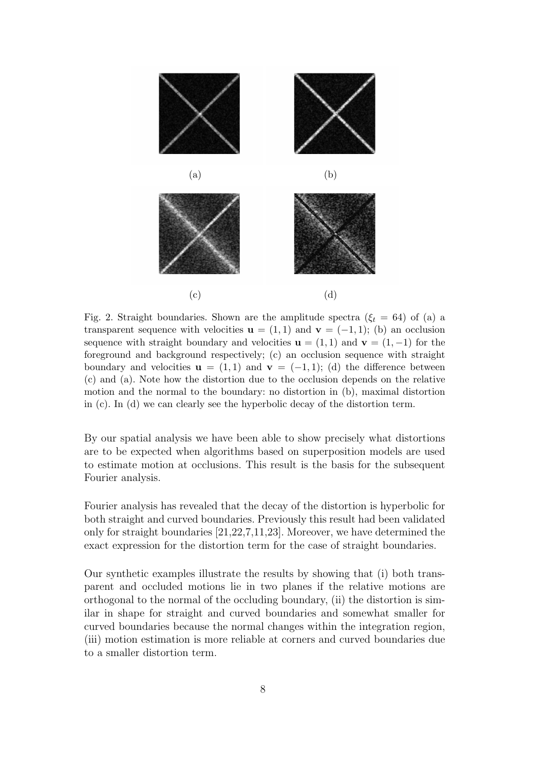

Fig. 2. Straight boundaries. Shown are the amplitude spectra  $(\xi_t = 64)$  of (a) a transparent sequence with velocities  $\mathbf{u} = (1,1)$  and  $\mathbf{v} = (-1,1)$ ; (b) an occlusion sequence with straight boundary and velocities  $\mathbf{u} = (1, 1)$  and  $\mathbf{v} = (1, -1)$  for the foreground and background respectively; (c) an occlusion sequence with straight boundary and velocities  $\mathbf{u} = (1, 1)$  and  $\mathbf{v} = (-1, 1)$ ; (d) the difference between (c) and (a). Note how the distortion due to the occlusion depends on the relative motion and the normal to the boundary: no distortion in (b), maximal distortion in (c). In (d) we can clearly see the hyperbolic decay of the distortion term.

By our spatial analysis we have been able to show precisely what distortions are to be expected when algorithms based on superposition models are used to estimate motion at occlusions. This result is the basis for the subsequent Fourier analysis.

Fourier analysis has revealed that the decay of the distortion is hyperbolic for both straight and curved boundaries. Previously this result had been validated only for straight boundaries [21,22,7,11,23]. Moreover, we have determined the exact expression for the distortion term for the case of straight boundaries.

Our synthetic examples illustrate the results by showing that (i) both transparent and occluded motions lie in two planes if the relative motions are orthogonal to the normal of the occluding boundary, (ii) the distortion is similar in shape for straight and curved boundaries and somewhat smaller for curved boundaries because the normal changes within the integration region, (iii) motion estimation is more reliable at corners and curved boundaries due to a smaller distortion term.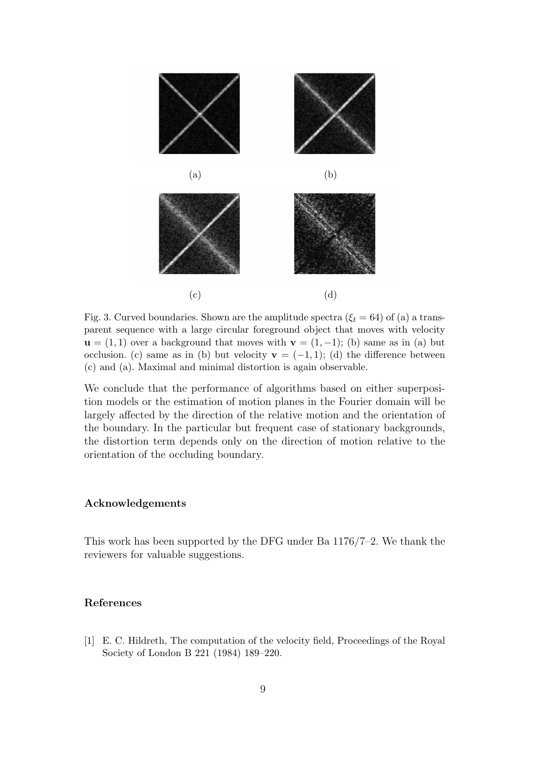

Fig. 3. Curved boundaries. Shown are the amplitude spectra  $(\xi_t = 64)$  of (a) a transparent sequence with a large circular foreground object that moves with velocity  $\mathbf{u} = (1, 1)$  over a background that moves with  $\mathbf{v} = (1, -1)$ ; (b) same as in (a) but occlusion. (c) same as in (b) but velocity  $\mathbf{v} = (-1,1)$ ; (d) the difference between (c) and (a). Maximal and minimal distortion is again observable.

We conclude that the performance of algorithms based on either superposition models or the estimation of motion planes in the Fourier domain will be largely affected by the direction of the relative motion and the orientation of the boundary. In the particular but frequent case of stationary backgrounds, the distortion term depends only on the direction of motion relative to the orientation of the occluding boundary.

#### Acknowledgements

This work has been supported by the DFG under Ba 1176/7–2. We thank the reviewers for valuable suggestions.

### References

[1] E. C. Hildreth, The computation of the velocity field, Proceedings of the Royal Society of London B 221 (1984) 189–220.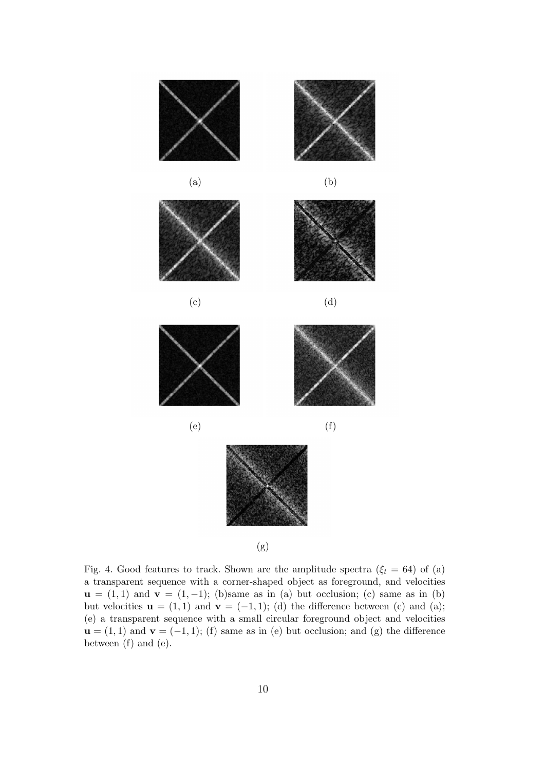

Fig. 4. Good features to track. Shown are the amplitude spectra ( $\xi_t = 64$ ) of (a) a transparent sequence with a corner-shaped object as foreground, and velocities  $u = (1, 1)$  and  $v = (1, -1)$ ; (b)same as in (a) but occlusion; (c) same as in (b) but velocities  $\mathbf{u} = (1, 1)$  and  $\mathbf{v} = (-1, 1)$ ; (d) the difference between (c) and (a); (e) a transparent sequence with a small circular foreground object and velocities  $\mathbf{u} = (1, 1)$  and  $\mathbf{v} = (-1, 1)$ ; (f) same as in (e) but occlusion; and (g) the difference between (f) and (e).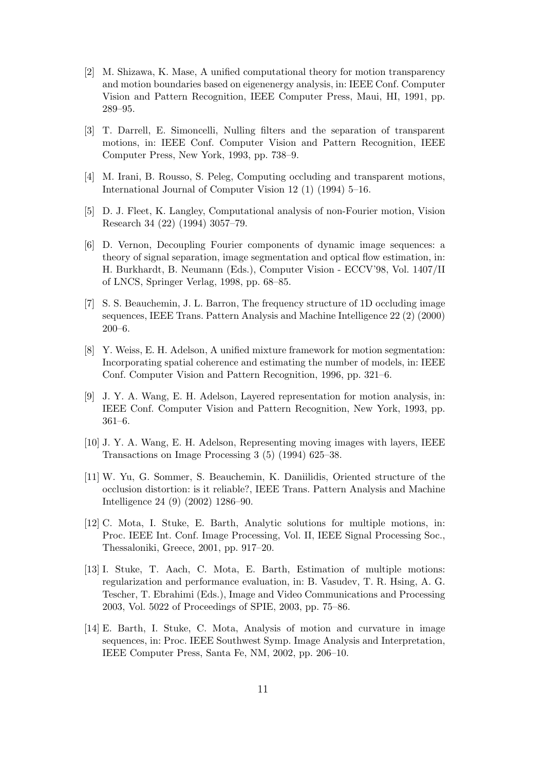- [2] M. Shizawa, K. Mase, A unified computational theory for motion transparency and motion boundaries based on eigenenergy analysis, in: IEEE Conf. Computer Vision and Pattern Recognition, IEEE Computer Press, Maui, HI, 1991, pp. 289–95.
- [3] T. Darrell, E. Simoncelli, Nulling filters and the separation of transparent motions, in: IEEE Conf. Computer Vision and Pattern Recognition, IEEE Computer Press, New York, 1993, pp. 738–9.
- [4] M. Irani, B. Rousso, S. Peleg, Computing occluding and transparent motions, International Journal of Computer Vision 12 (1) (1994) 5–16.
- [5] D. J. Fleet, K. Langley, Computational analysis of non-Fourier motion, Vision Research 34 (22) (1994) 3057–79.
- [6] D. Vernon, Decoupling Fourier components of dynamic image sequences: a theory of signal separation, image segmentation and optical flow estimation, in: H. Burkhardt, B. Neumann (Eds.), Computer Vision - ECCV'98, Vol. 1407/II of LNCS, Springer Verlag, 1998, pp. 68–85.
- [7] S. S. Beauchemin, J. L. Barron, The frequency structure of 1D occluding image sequences, IEEE Trans. Pattern Analysis and Machine Intelligence 22 (2) (2000) 200–6.
- [8] Y. Weiss, E. H. Adelson, A unified mixture framework for motion segmentation: Incorporating spatial coherence and estimating the number of models, in: IEEE Conf. Computer Vision and Pattern Recognition, 1996, pp. 321–6.
- [9] J. Y. A. Wang, E. H. Adelson, Layered representation for motion analysis, in: IEEE Conf. Computer Vision and Pattern Recognition, New York, 1993, pp. 361–6.
- [10] J. Y. A. Wang, E. H. Adelson, Representing moving images with layers, IEEE Transactions on Image Processing 3 (5) (1994) 625–38.
- [11] W. Yu, G. Sommer, S. Beauchemin, K. Daniilidis, Oriented structure of the occlusion distortion: is it reliable?, IEEE Trans. Pattern Analysis and Machine Intelligence 24 (9) (2002) 1286–90.
- [12] C. Mota, I. Stuke, E. Barth, Analytic solutions for multiple motions, in: Proc. IEEE Int. Conf. Image Processing, Vol. II, IEEE Signal Processing Soc., Thessaloniki, Greece, 2001, pp. 917–20.
- [13] I. Stuke, T. Aach, C. Mota, E. Barth, Estimation of multiple motions: regularization and performance evaluation, in: B. Vasudev, T. R. Hsing, A. G. Tescher, T. Ebrahimi (Eds.), Image and Video Communications and Processing 2003, Vol. 5022 of Proceedings of SPIE, 2003, pp. 75–86.
- [14] E. Barth, I. Stuke, C. Mota, Analysis of motion and curvature in image sequences, in: Proc. IEEE Southwest Symp. Image Analysis and Interpretation, IEEE Computer Press, Santa Fe, NM, 2002, pp. 206–10.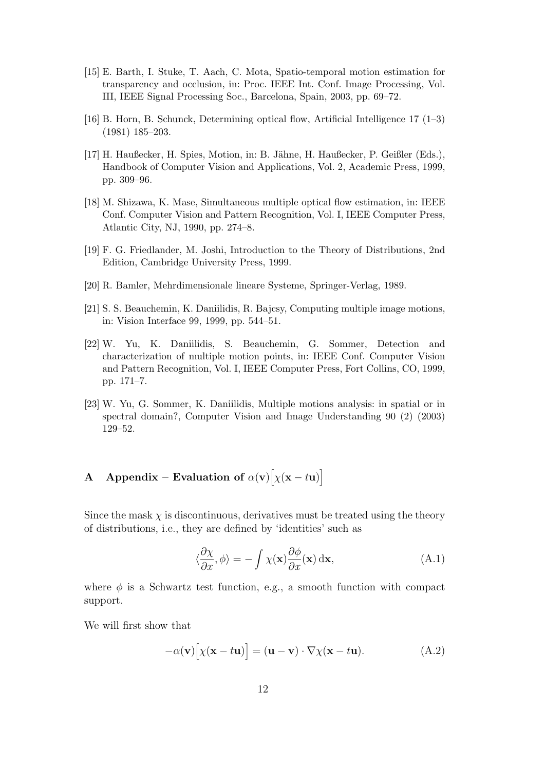- [15] E. Barth, I. Stuke, T. Aach, C. Mota, Spatio-temporal motion estimation for transparency and occlusion, in: Proc. IEEE Int. Conf. Image Processing, Vol. III, IEEE Signal Processing Soc., Barcelona, Spain, 2003, pp. 69–72.
- [16] B. Horn, B. Schunck, Determining optical flow, Artificial Intelligence 17 (1–3) (1981) 185–203.
- [17] H. Haußecker, H. Spies, Motion, in: B. Jähne, H. Haußecker, P. Geißler (Eds.), Handbook of Computer Vision and Applications, Vol. 2, Academic Press, 1999, pp. 309–96.
- [18] M. Shizawa, K. Mase, Simultaneous multiple optical flow estimation, in: IEEE Conf. Computer Vision and Pattern Recognition, Vol. I, IEEE Computer Press, Atlantic City, NJ, 1990, pp. 274–8.
- [19] F. G. Friedlander, M. Joshi, Introduction to the Theory of Distributions, 2nd Edition, Cambridge University Press, 1999.
- [20] R. Bamler, Mehrdimensionale lineare Systeme, Springer-Verlag, 1989.
- [21] S. S. Beauchemin, K. Daniilidis, R. Bajcsy, Computing multiple image motions, in: Vision Interface 99, 1999, pp. 544–51.
- [22] W. Yu, K. Daniilidis, S. Beauchemin, G. Sommer, Detection and characterization of multiple motion points, in: IEEE Conf. Computer Vision and Pattern Recognition, Vol. I, IEEE Computer Press, Fort Collins, CO, 1999, pp. 171–7.
- [23] W. Yu, G. Sommer, K. Daniilidis, Multiple motions analysis: in spatial or in spectral domain?, Computer Vision and Image Understanding 90 (2) (2003) 129–52.

# A Appendix – Evaluation of  $\alpha(\mathbf{v})[\chi(\mathbf{x}-t\mathbf{u})]$

Since the mask  $\chi$  is discontinuous, derivatives must be treated using the theory of distributions, i.e., they are defined by 'identities' such as

$$
\langle \frac{\partial \chi}{\partial x}, \phi \rangle = -\int \chi(\mathbf{x}) \frac{\partial \phi}{\partial x}(\mathbf{x}) \, \mathrm{d}\mathbf{x},\tag{A.1}
$$

where  $\phi$  is a Schwartz test function, e.g., a smooth function with compact support.

We will first show that

$$
-\alpha(\mathbf{v})[\chi(\mathbf{x}-t\mathbf{u})] = (\mathbf{u}-\mathbf{v}) \cdot \nabla \chi(\mathbf{x}-t\mathbf{u}).
$$
 (A.2)